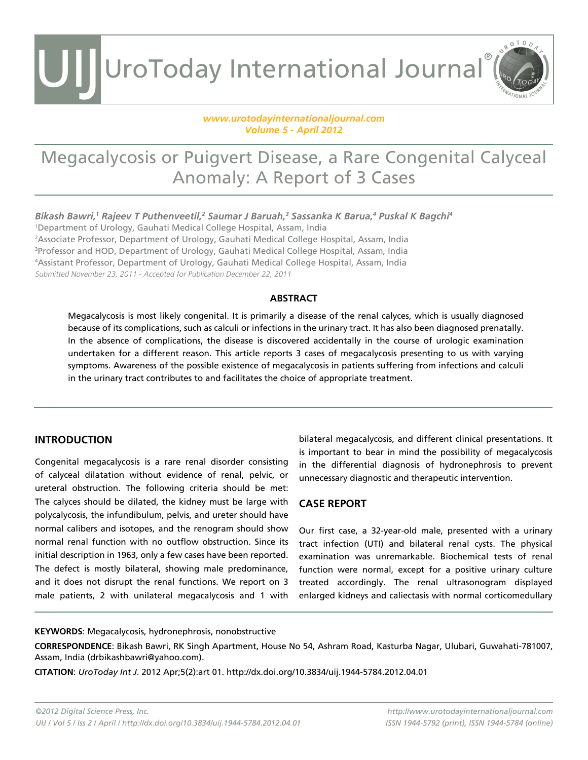UIJ UroToday International Journal®

### *[www.urotodayinternationaljournal.com](http://www.urotodayinternationaljournal.com) Volume 5 - April 2012*

### Megacalycosis or Puigvert Disease, a Rare Congenital Calyceal Anomaly: A Report of 3 Cases

*Bikash Bawri,1 Rajeev T Puthenveetil,2 Saumar J Baruah,3 Sassanka K Barua,4 Puskal K Bagchi4*

 Department of Urology, Gauhati Medical College Hospital, Assam, India Associate Professor, Department of Urology, Gauhati Medical College Hospital, Assam, India Professor and HOD, Department of Urology, Gauhati Medical College Hospital, Assam, India Assistant Professor, Department of Urology, Gauhati Medical College Hospital, Assam, India Submitted November 23, 2011 - Accepted for Publication December 22, 2011

### **ABSTRACT**

Megacalycosis is most likely congenital. It is primarily a disease of the renal calyces, which is usually diagnosed because of its complications, such as calculi or infections in the urinary tract. It has also been diagnosed prenatally. In the absence of complications, the disease is discovered accidentally in the course of urologic examination undertaken for a different reason. This article reports 3 cases of megacalycosis presenting to us with varying symptoms. Awareness of the possible existence of megacalycosis in patients suffering from infections and calculi in the urinary tract contributes to and facilitates the choice of appropriate treatment.

### **Introduction**

Congenital megacalycosis is a rare renal disorder consisting of calyceal dilatation without evidence of renal, pelvic, or ureteral obstruction. The following criteria should be met: The calyces should be dilated, the kidney must be large with polycalycosis, the infundibulum, pelvis, and ureter should have normal calibers and isotopes, and the renogram should show normal renal function with no outflow obstruction. Since its initial description in 1963, only a few cases have been reported. The defect is mostly bilateral, showing male predominance, and it does not disrupt the renal functions. We report on 3 male patients, 2 with unilateral megacalycosis and 1 with bilateral megacalycosis, and different clinical presentations. It is important to bear in mind the possibility of megacalycosis in the differential diagnosis of hydronephrosis to prevent unnecessary diagnostic and therapeutic intervention.

ROTOD

### **CASE REPORT**

Our first case, a 32-year-old male, presented with a urinary tract infection (UTI) and bilateral renal cysts. The physical examination was unremarkable. Biochemical tests of renal function were normal, except for a positive urinary culture treated accordingly. The renal ultrasonogram displayed enlarged kidneys and caliectasis with normal corticomedullary

#### **KEYWORDS**: Megacalycosis, hydronephrosis, nonobstructive

**CORRESPONDENCE**: Bikash Bawri, RK Singh Apartment, House No 54, Ashram Road, Kasturba Nagar, Ulubari, Guwahati-781007, Assam, India (drbikashbawri@yahoo.com).

**CITATION**: *UroToday Int J*. 2012 Apr;5(2):art 01. http://dx.doi.org/10.3834/uij.1944-5784.2012.04.01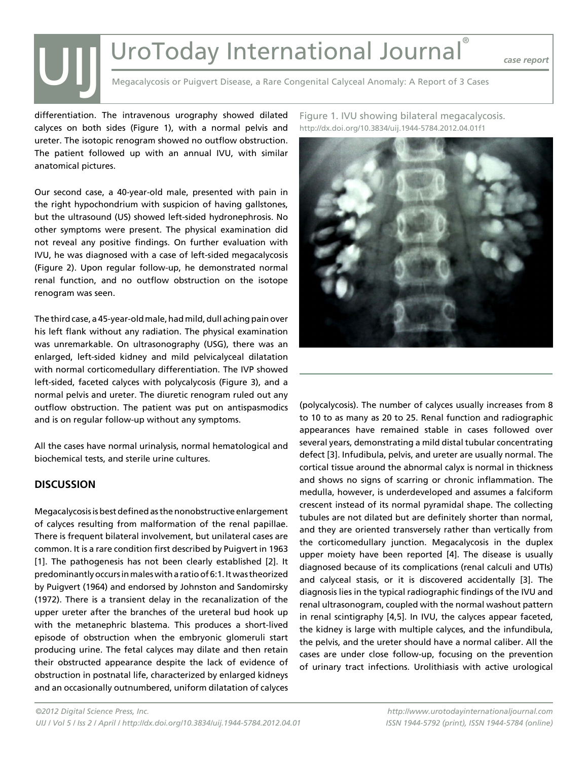## UroToday International Journal®

*case report*

Megacalycosis or Puigvert Disease, a Rare Congenital Calyceal Anomaly: A Report of 3 Cases

differentiation. The intravenous urography showed dilated calyces on both sides (Figure 1), with a normal pelvis and ureter. The isotopic renogram showed no outflow obstruction. The patient followed up with an annual IVU, with similar anatomical pictures.

Our second case, a 40-year-old male, presented with pain in the right hypochondrium with suspicion of having gallstones, but the ultrasound (US) showed left-sided hydronephrosis. No other symptoms were present. The physical examination did not reveal any positive findings. On further evaluation with IVU, he was diagnosed with a case of left-sided megacalycosis (Figure 2). Upon regular follow-up, he demonstrated normal renal function, and no outflow obstruction on the isotope renogram was seen.

The third case, a 45-year-old male, had mild, dull aching pain over his left flank without any radiation. The physical examination was unremarkable. On ultrasonography (USG), there was an enlarged, left-sided kidney and mild pelvicalyceal dilatation with normal corticomedullary differentiation. The IVP showed left-sided, faceted calyces with polycalycosis (Figure 3), and a normal pelvis and ureter. The diuretic renogram ruled out any outflow obstruction. The patient was put on antispasmodics and is on regular follow-up without any symptoms.

All the cases have normal urinalysis, normal hematological and biochemical tests, and sterile urine cultures.

### **DISCUSSION**

UIJ

Megacalycosis is best defined as the nonobstructive enlargement of calyces resulting from malformation of the renal papillae. There is frequent bilateral involvement, but unilateral cases are common. It is a rare condition first described by Puigvert in 1963 [1]. The pathogenesis has not been clearly established [2]. It predominantly occurs in males with a ratio of 6:1. It was theorized by Puigvert (1964) and endorsed by Johnston and Sandomirsky (1972). There is a transient delay in the recanalization of the upper ureter after the branches of the ureteral bud hook up with the metanephric blastema. This produces a short-lived episode of obstruction when the embryonic glomeruli start producing urine. The fetal calyces may dilate and then retain their obstructed appearance despite the lack of evidence of obstruction in postnatal life, characterized by enlarged kidneys and an occasionally outnumbered, uniform dilatation of calyces

Figure 1. IVU showing bilateral megacalycosis. http://dx.doi.org/10.3834/uij.1944-5784.2012.04.01f1



(polycalycosis). The number of calyces usually increases from 8 to 10 to as many as 20 to 25. Renal function and radiographic appearances have remained stable in cases followed over several years, demonstrating a mild distal tubular concentrating defect [3]. Infudibula, pelvis, and ureter are usually normal. The cortical tissue around the abnormal calyx is normal in thickness and shows no signs of scarring or chronic inflammation. The medulla, however, is underdeveloped and assumes a falciform crescent instead of its normal pyramidal shape. The collecting tubules are not dilated but are definitely shorter than normal, and they are oriented transversely rather than vertically from the corticomedullary junction. Megacalycosis in the duplex upper moiety have been reported [4]. The disease is usually diagnosed because of its complications (renal calculi and UTIs) and calyceal stasis, or it is discovered accidentally [3]. The diagnosis lies in the typical radiographic findings of the IVU and renal ultrasonogram, coupled with the normal washout pattern in renal scintigraphy [4,5]. In IVU, the calyces appear faceted, the kidney is large with multiple calyces, and the infundibula, the pelvis, and the ureter should have a normal caliber. All the cases are under close follow-up, focusing on the prevention of urinary tract infections. Urolithiasis with active urological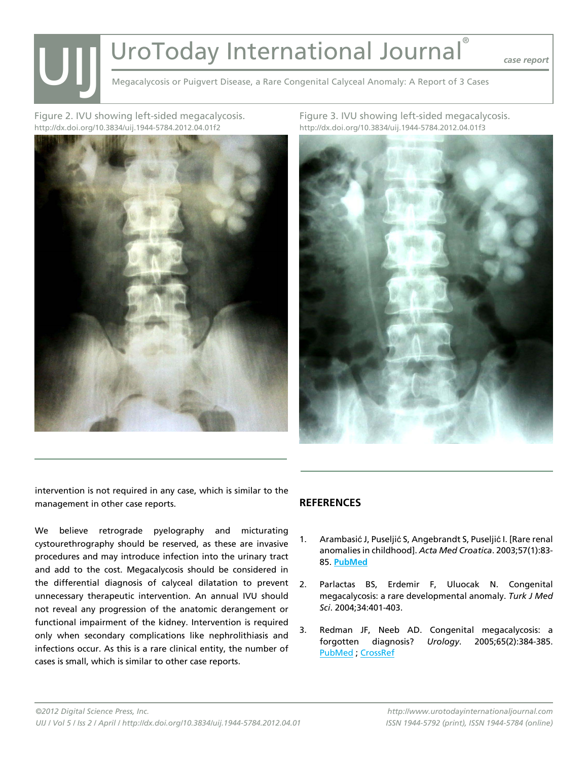# UroToday International Journal® UIJ

*case report*

Megacalycosis or Puigvert Disease, a Rare Congenital Calyceal Anomaly: A Report of 3 Cases

Figure 2. IVU showing left-sided megacalycosis. http://dx.doi.org/10.3834/uij.1944-5784.2012.04.01f2



Figure 3. IVU showing left-sided megacalycosis. http://dx.doi.org/10.3834/uij.1944-5784.2012.04.01f3



intervention is not required in any case, which is similar to the management in other case reports.

We believe retrograde pyelography and micturating cystourethrography should be reserved, as these are invasive procedures and may introduce infection into the urinary tract and add to the cost. Megacalycosis should be considered in the differential diagnosis of calyceal dilatation to prevent unnecessary therapeutic intervention. An annual IVU should not reveal any progression of the anatomic derangement or functional impairment of the kidney. Intervention is required only when secondary complications like nephrolithiasis and infections occur. As this is a rare clinical entity, the number of cases is small, which is similar to other case reports.

### **References**

- 1. Arambasić J, Puseljić S, Angebrandt S, Puseljić I. [Rare renal anomalies in childhood]. *Acta Med Croatica*. 2003;57(1):83- 85. **[PubMed](http://www.ncbi.nlm.nih.gov/entrez/query.fcgi?cmd=Retrieve&db=PubMed&list_uids=12876871=&dopt=Abstract )**
- 2. Parlactas BS, Erdemir F, Uluocak N. Congenital megacalycosis: a rare developmental anomaly. *Turk J Med Sci*. 2004;34:401-403.
- 3. Redman JF, Neeb AD. Congenital megacalycosis: a forgotten diagnosis? *Urology*. 2005;65(2):384-385. [PubMed](http://www.ncbi.nlm.nih.gov/entrez/query.fcgi?cmd=Retrieve&db=PubMed&list_uids=15708059=&dopt=Abstract ) ; [CrossRef](http://dx.doi.org/10.1016/j.urology.2004.09.058)